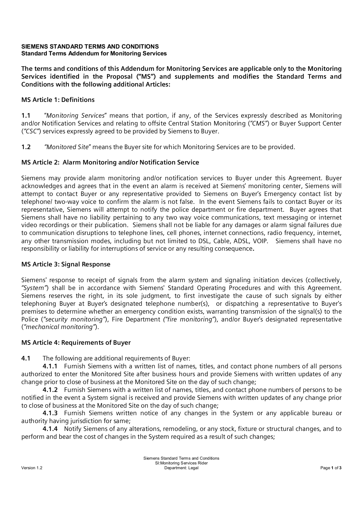#### **SIEMENS STANDARD TERMS AND CONDITIONS Standard Terms Addendum for Monitoring Services**

**The terms and conditions of this Addendum for Monitoring Services are applicable only to the Monitoring Services identified in the Proposal ("MS") and supplements and modifies the Standard Terms and Conditions with the following additional Articles:**

## **MS Article 1: Definitions**

**1.1** "*Monitoring Services*" means that portion, if any, of the Services expressly described as Monitoring and/or Notification Services and relating to offsite Central Station Monitoring (*"CMS"*) or Buyer Support Center (*"CSC"*) services expressly agreed to be provided by Siemens to Buyer.

**1.2** *"Monitored Site*" means the Buyer site for which Monitoring Services are to be provided.

## **MS Article 2: Alarm Monitoring and/or Notification Service**

Siemens may provide alarm monitoring and/or notification services to Buyer under this Agreement. Buyer acknowledges and agrees that in the event an alarm is received at Siemens' monitoring center, Siemens will attempt to contact Buyer or any representative provided to Siemens on Buyer's Emergency contact list by telephone/ two-way voice to confirm the alarm is not false. In the event Siemens fails to contact Buyer or its representative, Siemens will attempt to notify the police department or fire department. Buyer agrees that Siemens shall have no liability pertaining to any two way voice communications, text messaging or internet video recordings or their publication. Siemens shall not be liable for any damages or alarm signal failures due to communication disruptions to telephone lines, cell phones, internet connections, radio frequency, internet, any other transmission modes, including but not limited to DSL, Cable, ADSL, VOIP. Siemens shall have no responsibility or liability for interruptions of service or any resulting consequence**.**

### **MS Article 3: Signal Response**

Siemens' response to receipt of signals from the alarm system and signaling initiation devices (collectively, *"System"*) shall be in accordance with Siemens' Standard Operating Procedures and with this Agreement. Siemens reserves the right, in its sole judgment, to first investigate the cause of such signals by either telephoning Buyer at Buyer's designated telephone number(s), or dispatching a representative to Buyer's premises to determine whether an emergency condition exists, warranting transmission of the signal(s) to the Police (*"security monitoring"*), Fire Department *("fire monitoring"*), and/or Buyer's designated representative (*"mechanical monitoring"*).

### **MS Article 4: Requirements of Buyer**

**4.1** The following are additional requirements of Buyer:

**4.1.1** Furnish Siemens with a written list of names, titles, and contact phone numbers of all persons authorized to enter the Monitored Site after business hours and provide Siemens with written updates of any change prior to close of business at the Monitored Site on the day of such change;

**4.1.2** Furnish Siemens with a written list of names, titles, and contact phone numbers of persons to be notified in the event a System signal is received and provide Siemens with written updates of any change prior to close of business at the Monitored Site on the day of such change;

**4.1.3** Furnish Siemens written notice of any changes in the System or any applicable bureau or authority having jurisdiction for same;

**4.1.4** Notify Siemens of any alterations, remodeling, or any stock, fixture or structural changes, and to perform and bear the cost of changes in the System required as a result of such changes;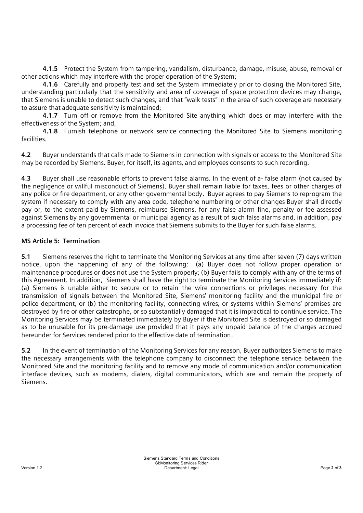**4.1.5** Protect the System from tampering, vandalism, disturbance, damage, misuse, abuse, removal or other actions which may interfere with the proper operation of the System;

**4.1.6** Carefully and properly test and set the System immediately prior to closing the Monitored Site, understanding particularly that the sensitivity and area of coverage of space protection devices may change, that Siemens is unable to detect such changes, and that "walk tests" in the area of such coverage are necessary to assure that adequate sensitivity is maintained;

**4.1.7** Turn off or remove from the Monitored Site anything which does or may interfere with the effectiveness of the System; and,

**4.1.8** Furnish telephone or network service connecting the Monitored Site to Siemens monitoring facilities.

**4.2** Buyer understands that calls made to Siemens in connection with signals or access to the Monitored Site may be recorded by Siemens. Buyer, for itself, its agents, and employees consents to such recording.

**4.3** Buyer shall use reasonable efforts to prevent false alarms. In the event of a- false alarm (not caused by the negligence or willful misconduct of Siemens), Buyer shall remain liable for taxes, fees or other charges of any police or fire department, or any other governmental body. Buyer agrees to pay Siemens to reprogram the system if necessary to comply with any area code, telephone numbering or other changes Buyer shall directly pay or, to the extent paid by Siemens, reimburse Siemens, for any false alarm fine, penalty or fee assessed against Siemens by any governmental or municipal agency as a result of such false alarms and, in addition, pay a processing fee of ten percent of each invoice that Siemens submits to the Buyer for such false alarms.

# **MS Article 5: Termination**

**5.1** Siemens reserves the right to terminate the Monitoring Services at any time after seven (7) days written notice, upon the happening of any of the following: (a) Buyer does not follow proper operation or maintenance procedures or does not use the System properly; (b) Buyer fails to comply with any of the terms of this Agreement. In addition, Siemens shall have the right to terminate the Monitoring Services immediately if: (a) Siemens is unable either to secure or to retain the wire connections or privileges necessary for the transmission of signals between the Monitored Site, Siemens' monitoring facility and the municipal fire or police department; or (b) the monitoring facility, connecting wires, or systems within Siemens' premises are destroyed by fire or other catastrophe, or so substantially damaged that it is impractical to continue service. The Monitoring Services may be terminated immediately by Buyer if the Monitored Site is destroyed or so damaged as to be unusable for its pre-damage use provided that it pays any unpaid balance of the charges accrued hereunder for Services rendered prior to the effective date of termination.

**5.2** In the event of termination of the Monitoring Services for any reason, Buyer authorizes Siemens to make the necessary arrangements with the telephone company to disconnect the telephone service between the Monitored Site and the monitoring facility and to remove any mode of communication and/or communication interface devices, such as modems, dialers, digital communicators, which are and remain the property of Siemens.